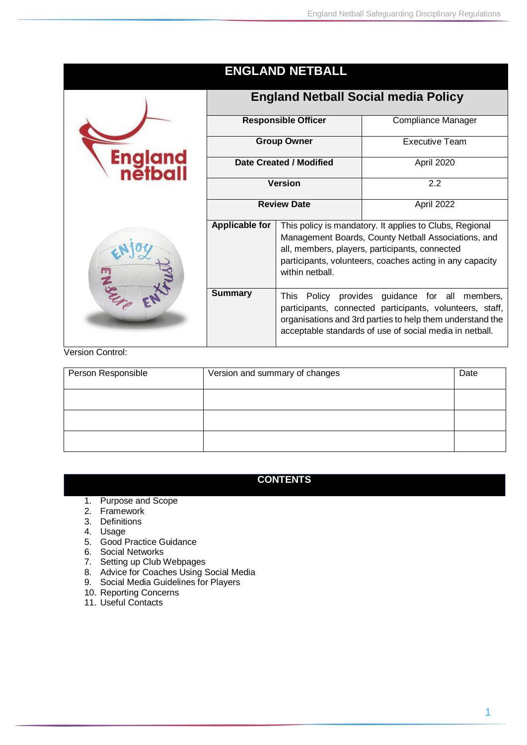|               |                                            | <b>ENGLAND NETBALL</b>                                                                                                                                                                                                                          |                       |
|---------------|--------------------------------------------|-------------------------------------------------------------------------------------------------------------------------------------------------------------------------------------------------------------------------------------------------|-----------------------|
|               | <b>England Netball Social media Policy</b> |                                                                                                                                                                                                                                                 |                       |
|               | <b>Responsible Officer</b>                 |                                                                                                                                                                                                                                                 | Compliance Manager    |
|               | <b>Group Owner</b>                         |                                                                                                                                                                                                                                                 | <b>Executive Team</b> |
|               | Date Created / Modified                    |                                                                                                                                                                                                                                                 | April 2020            |
|               | <b>Version</b>                             |                                                                                                                                                                                                                                                 | 2.2                   |
|               | <b>Review Date</b>                         |                                                                                                                                                                                                                                                 | April 2022            |
|               | Applicable for                             | This policy is mandatory. It applies to Clubs, Regional<br>Management Boards, County Netball Associations, and<br>all, members, players, participants, connected<br>participants, volunteers, coaches acting in any capacity<br>within nethall. |                       |
| $\frac{1}{2}$ | <b>Summary</b>                             | Policy provides guidance for all members,<br>This<br>participants, connected participants, volunteers, staff,<br>organisations and 3rd parties to help them understand the<br>acceptable standards of use of social media in netball.           |                       |

#### Version Control:

| Person Responsible | Version and summary of changes | Date |
|--------------------|--------------------------------|------|
|                    |                                |      |
|                    |                                |      |
|                    |                                |      |

# **CONTENTS**

- 1. Purpose and Scope
- 2. Framework
- 3. Definitions
- 4. Usage
- 5. Good Practice Guidance
- 6. Social Networks
- 7. Setting up Club Webpages
- 8. Advice for Coaches Using Social Media
- 9. Social Media Guidelines for Players
- 10. Reporting Concerns
- 11. Useful Contacts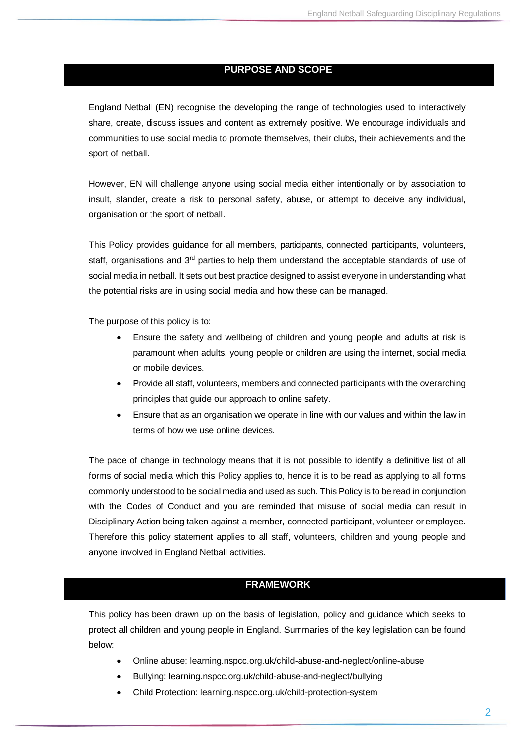#### **PURPOSE AND SCOPE**

England Netball (EN) recognise the developing the range of technologies used to interactively share, create, discuss issues and content as extremely positive. We encourage individuals and communities to use social media to promote themselves, their clubs, their achievements and the sport of netball.

However, EN will challenge anyone using social media either intentionally or by association to insult, slander, create a risk to personal safety, abuse, or attempt to deceive any individual, organisation or the sport of netball.

This Policy provides guidance for all members, participants, connected participants, volunteers, staff, organisations and 3<sup>rd</sup> parties to help them understand the acceptable standards of use of social media in netball. It sets out best practice designed to assist everyone in understanding what the potential risks are in using social media and how these can be managed.

The purpose of this policy is to:

- Ensure the safety and wellbeing of children and young people and adults at risk is paramount when adults, young people or children are using the internet, social media or mobile devices.
- Provide all staff, volunteers, members and connected participants with the overarching principles that guide our approach to online safety.
- Ensure that as an organisation we operate in line with our values and within the law in terms of how we use online devices.

The pace of change in technology means that it is not possible to identify a definitive list of all forms of social media which this Policy applies to, hence it is to be read as applying to all forms commonly understood to be social media and used as such. This Policy is to be read in conjunction with the Codes of Conduct and you are reminded that misuse of social media can result in Disciplinary Action being taken against a member, connected participant, volunteer or employee. Therefore this policy statement applies to all staff, volunteers, children and young people and anyone involved in England Netball activities.

# **FRAMEWORK**

This policy has been drawn up on the basis of legislation, policy and guidance which seeks to protect all children and young people in England. Summaries of the key legislation can be found below:

- Online abuse: learning.nspcc.org.uk/child-abuse-and-neglect/online-abuse
- Bullying: learning.nspcc.org.uk/child-abuse-and-neglect/bullying
- Child Protection: learning.nspcc.org.uk/child-protection-system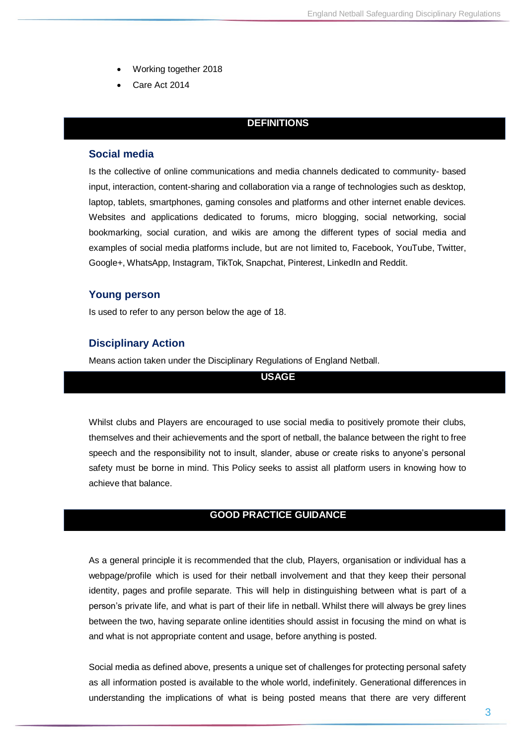- Working together 2018
- Care Act 2014

#### **DEFINITIONS**

#### **Social media**

Is the collective of online communications and media channels dedicated to community- based input, interaction, content-sharing and collaboration via a range of technologies such as desktop, laptop, tablets, smartphones, gaming consoles and platforms and other internet enable devices. Websites and applications dedicated to [forums,](http://whatis.techtarget.com/definition/discussion-board-discussion-group-message-board-online-forum) [micro blogging,](http://searchmobilecomputing.techtarget.com/definition/microblogging) [social networking,](http://whatis.techtarget.com/definition/social-networking) [social](http://whatis.techtarget.com/definition/social-bookmarking)  [bookmarking,](http://whatis.techtarget.com/definition/social-bookmarking) [social curation,](http://whatis.techtarget.com/definition/social-curation) and [wikis](http://searchsoa.techtarget.com/definition/wiki) are among the different types of social media and examples of social media platforms include, but are not limited to, Facebook, YouTube, Twitter, Google+, WhatsApp, Instagram, TikTok, Snapchat, Pinterest, LinkedIn and Reddit.

#### **Young person**

Is used to refer to any person below the age of 18.

#### **Disciplinary Action**

Means action taken under the Disciplinary Regulations of England Netball.

**USAGE**

Whilst clubs and Players are encouraged to use social media to positively promote their clubs, themselves and their achievements and the sport of netball, the balance between the right to free speech and the responsibility not to insult, slander, abuse or create risks to anyone's personal safety must be borne in mind. This Policy seeks to assist all platform users in knowing how to achieve that balance.

#### **GOOD PRACTICE GUIDANCE**

As a general principle it is recommended that the club, Players, organisation or individual has a webpage/profile which is used for their netball involvement and that they keep their personal identity, pages and profile separate. This will help in distinguishing between what is part of a person's private life, and what is part of their life in netball. Whilst there will always be grey lines between the two, having separate online identities should assist in focusing the mind on what is and what is not appropriate content and usage, before anything is posted.

Social media as defined above, presents a unique set of challenges for protecting personal safety as all information posted is available to the whole world, indefinitely. Generational differences in understanding the implications of what is being posted means that there are very different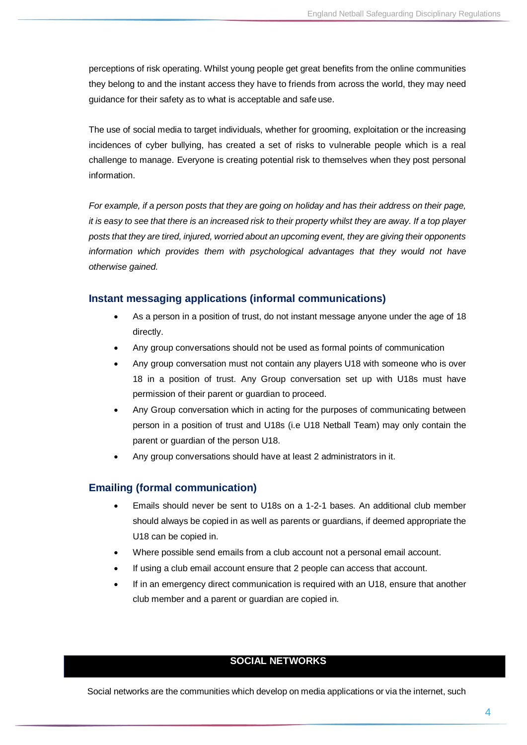perceptions of risk operating. Whilst young people get great benefits from the online communities they belong to and the instant access they have to friends from across the world, they may need guidance for their safety as to what is acceptable and safe use.

The use of social media to target individuals, whether for grooming, exploitation or the increasing incidences of cyber bullying, has created a set of risks to vulnerable people which is a real challenge to manage. Everyone is creating potential risk to themselves when they post personal information.

For example, if a person posts that they are going on holiday and has their address on their page, *it is easy to see that there is an increased risk to their property whilst they are away. If a top player posts that they are tired, injured, worried about an upcoming event, they are giving their opponents information which provides them with psychological advantages that they would not have otherwise gained.*

# **Instant messaging applications (informal communications)**

- As a person in a position of trust, do not instant message anyone under the age of 18 directly.
- Any group conversations should not be used as formal points of communication
- Any group conversation must not contain any players U18 with someone who is over 18 in a position of trust. Any Group conversation set up with U18s must have permission of their parent or guardian to proceed.
- Any Group conversation which in acting for the purposes of communicating between person in a position of trust and U18s (i.e U18 Netball Team) may only contain the parent or guardian of the person U18.
- Any group conversations should have at least 2 administrators in it.

# **Emailing (formal communication)**

- Emails should never be sent to U18s on a 1-2-1 bases. An additional club member should always be copied in as well as parents or guardians, if deemed appropriate the U18 can be copied in.
- Where possible send emails from a club account not a personal email account.
- If using a club email account ensure that 2 people can access that account.
- If in an emergency direct communication is required with an U18, ensure that another club member and a parent or guardian are copied in.

# **SOCIAL NETWORKS**

Social networks are the communities which develop on media applications or via the internet, such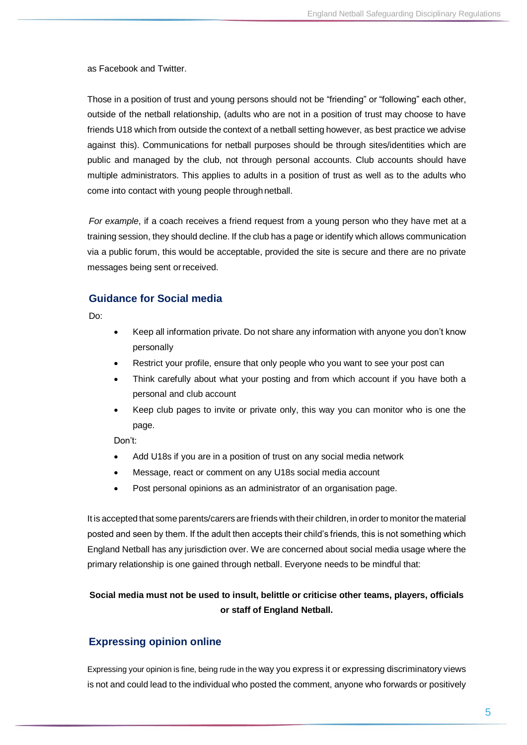as Facebook and Twitter.

Those in a position of trust and young persons should not be "friending" or "following" each other, outside of the netball relationship, (adults who are not in a position of trust may choose to have friends U18 which from outside the context of a netball setting however, as best practice we advise against this). Communications for netball purposes should be through sites/identities which are public and managed by the club, not through personal accounts. Club accounts should have multiple administrators. This applies to adults in a position of trust as well as to the adults who come into contact with young people through netball.

*For example*, if a coach receives a friend request from a young person who they have met at a training session, they should decline. If the club has a page or identify which allows communication via a public forum, this would be acceptable, provided the site is secure and there are no private messages being sent orreceived.

#### **Guidance for Social media**

Do:

- Keep all information private. Do not share any information with anyone you don't know personally
- Restrict your profile, ensure that only people who you want to see your post can
- Think carefully about what your posting and from which account if you have both a personal and club account
- Keep club pages to invite or private only, this way you can monitor who is one the page.

Don't:

- Add U18s if you are in a position of trust on any social media network
- Message, react or comment on any U18s social media account
- Post personal opinions as an administrator of an organisation page.

It is accepted that some parents/carers are friends with their children, in orderto monitor thematerial posted and seen by them. If the adult then accepts their child's friends, this is not something which England Netball has any jurisdiction over. We are concerned about social media usage where the primary relationship is one gained through netball. Everyone needs to be mindful that:

# **Social media must not be used to insult, belittle or criticise other teams, players, officials or staff of England Netball.**

#### **Expressing opinion online**

Expressing your opinion is fine, being rude in the way you express it or expressing discriminatory views is not and could lead to the individual who posted the comment, anyone who forwards or positively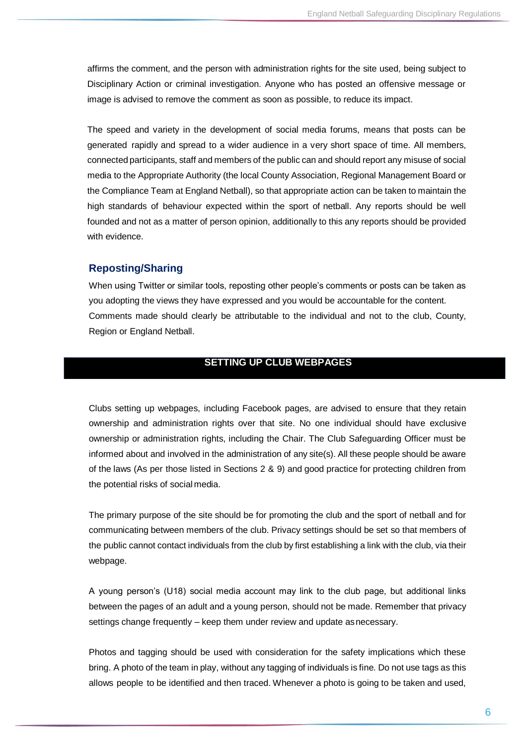affirms the comment, and the person with administration rights for the site used, being subject to Disciplinary Action or criminal investigation. Anyone who has posted an offensive message or image is advised to remove the comment as soon as possible, to reduce its impact.

The speed and variety in the development of social media forums, means that posts can be generated rapidly and spread to a wider audience in a very short space of time. All members, connected participants, staff and members of the public can and should report any misuse of social media to the Appropriate Authority (the local County Association, Regional Management Board or the Compliance Team at England Netball), so that appropriate action can be taken to maintain the high standards of behaviour expected within the sport of netball. Any reports should be well founded and not as a matter of person opinion, additionally to this any reports should be provided with evidence.

#### **Reposting/Sharing**

When using Twitter or similar tools, reposting other people's comments or posts can be taken as you adopting the views they have expressed and you would be accountable for the content. Comments made should clearly be attributable to the individual and not to the club, County, Region or England Netball.

### **SETTING UP CLUB WEBPAGES**

Clubs setting up webpages, including Facebook pages, are advised to ensure that they retain ownership and administration rights over that site. No one individual should have exclusive ownership or administration rights, including the Chair. The Club Safeguarding Officer must be informed about and involved in the administration of any site(s). All these people should be aware of the laws (As per those listed in Sections 2 & 9) and good practice for protecting children from the potential risks of social media.

The primary purpose of the site should be for promoting the club and the sport of netball and for communicating between members of the club. Privacy settings should be set so that members of the public cannot contact individuals from the club by first establishing a link with the club, via their webpage.

A young person's (U18) social media account may link to the club page, but additional links between the pages of an adult and a young person, should not be made. Remember that privacy settings change frequently – keep them under review and update asnecessary.

Photos and tagging should be used with consideration for the safety implications which these bring. A photo of the team in play, without any tagging of individuals is fine. Do not use tags as this allows people to be identified and then traced. Whenever a photo is going to be taken and used,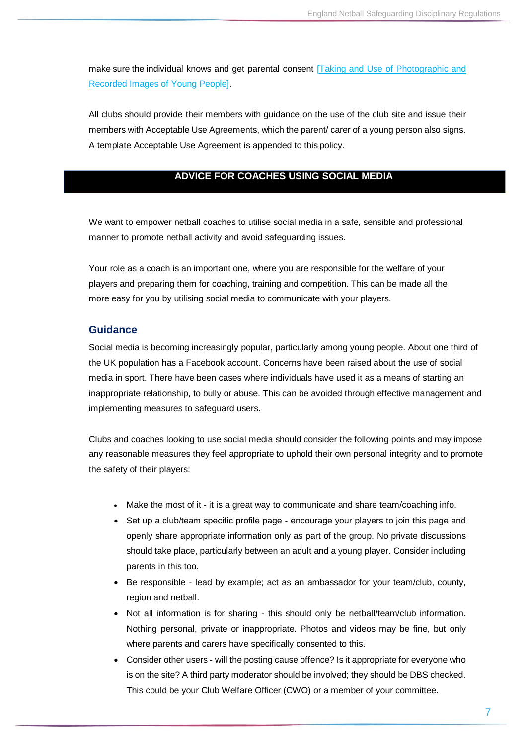make sure the individual knows and get parental consent **Taking and Use of Photographic and** [Recorded Images of Young](https://d2cx26qpfwuhvu.cloudfront.net/englandnetball/wp-content/uploads/2016/03/02134551/Policy-on-Taking-and-Use-of-Photographic-and-recorded-Images-of-Young-People-12-1.docx) [People\].](https://www.englandnetball.co.uk/app/uploads/2016/03/Policy-on-Taking-and-Use-of-Photographic-and-recorded-Images-of-Young-People-12.docx)

All clubs should provide their members with guidance on the use of the club site and issue their members with Acceptable Use Agreements, which the parent/ carer of a young person also signs. A template Acceptable Use Agreement is appended to this policy.

#### **ADVICE FOR COACHES USING SOCIAL MEDIA**

We want to empower netball coaches to utilise social media in a safe, sensible and professional manner to promote netball activity and avoid safeguarding issues.

Your role as a coach is an important one, where you are responsible for the welfare of your players and preparing them for coaching, training and competition. This can be made all the more easy for you by utilising social media to communicate with your players.

#### **Guidance**

Social media is becoming increasingly popular, particularly among young people. About one third of the UK population has a Facebook account. Concerns have been raised about the use of social media in sport. There have been cases where individuals have used it as a means of starting an inappropriate relationship, to bully or abuse. This can be avoided through effective management and implementing measures to safeguard users.

Clubs and coaches looking to use social media should consider the following points and may impose any reasonable measures they feel appropriate to uphold their own personal integrity and to promote the safety of their players:

- Make the most of it it is a great way to communicate and share team/coaching info.
- Set up a club/team specific profile page encourage your players to join this page and openly share appropriate information only as part of the group. No private discussions should take place, particularly between an adult and a young player. Consider including parents in this too.
- Be responsible lead by example; act as an ambassador for your team/club, county, region and netball.
- Not all information is for sharing this should only be netball/team/club information. Nothing personal, private or inappropriate. Photos and videos may be fine, but only where parents and carers have specifically consented to this.
- Consider other users will the posting cause offence? Is it appropriate for everyone who is on the site? A third party moderator should be involved; they should be DBS checked. This could be your Club Welfare Officer (CWO) or a member of your committee.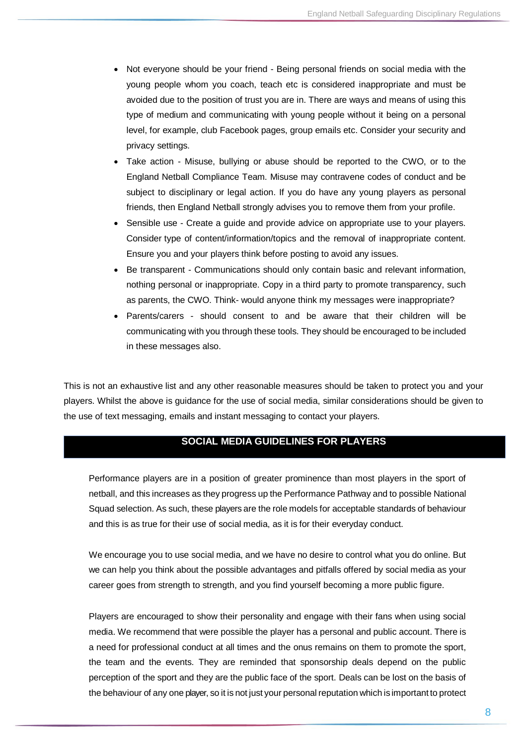- Not everyone should be your friend Being personal friends on social media with the young people whom you coach, teach etc is considered inappropriate and must be avoided due to the position of trust you are in. There are ways and means of using this type of medium and communicating with young people without it being on a personal level, for example, club Facebook pages, group emails etc. Consider your security and privacy settings.
- Take action Misuse, bullying or abuse should be reported to the CWO, or to the England Netball Compliance Team. Misuse may contravene codes of conduct and be subject to disciplinary or legal action. If you do have any young players as personal friends, then England Netball strongly advises you to remove them from your profile.
- Sensible use Create a guide and provide advice on appropriate use to your players. Consider type of content/information/topics and the removal of inappropriate content. Ensure you and your players think before posting to avoid any issues.
- Be transparent Communications should only contain basic and relevant information, nothing personal or inappropriate. Copy in a third party to promote transparency, such as parents, the CWO. Think- would anyone think my messages were inappropriate?
- Parents/carers should consent to and be aware that their children will be communicating with you through these tools. They should be encouraged to be included in these messages also.

This is not an exhaustive list and any other reasonable measures should be taken to protect you and your players. Whilst the above is guidance for the use of social media, similar considerations should be given to the use of text messaging, emails and instant messaging to contact your players.

# **SOCIAL MEDIA GUIDELINES FOR PLAYERS**

Performance players are in a position of greater prominence than most players in the sport of netball, and this increases as they progress up the Performance Pathway and to possible National Squad selection. As such, these players are the role models for acceptable standards of behaviour and this is as true for their use of social media, as it is for their everyday conduct.

We encourage you to use social media, and we have no desire to control what you do online. But we can help you think about the possible advantages and pitfalls offered by social media as your career goes from strength to strength, and you find yourself becoming a more public figure.

Players are encouraged to show their personality and engage with their fans when using social media. We recommend that were possible the player has a personal and public account. There is a need for professional conduct at all times and the onus remains on them to promote the sport, the team and the events. They are reminded that sponsorship deals depend on the public perception of the sport and they are the public face of the sport. Deals can be lost on the basis of the behaviour of any one player, so it is not just your personal reputation which is important to protect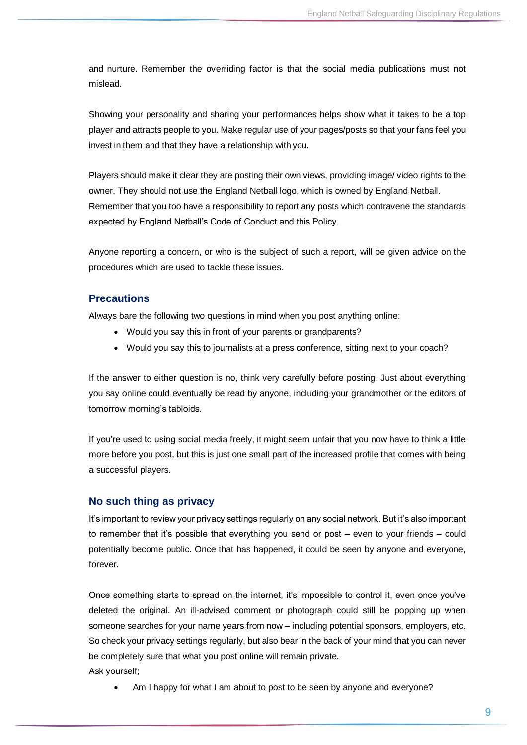and nurture. Remember the overriding factor is that the social media publications must not mislead.

Showing your personality and sharing your performances helps show what it takes to be a top player and attracts people to you. Make regular use of your pages/posts so that your fans feel you invest in them and that they have a relationship with you.

Players should make it clear they are posting their own views, providing image/ video rights to the owner. They should not use the England Netball logo, which is owned by England Netball. Remember that you too have a responsibility to report any posts which contravene the standards expected by England Netball's Code of Conduct and this Policy.

Anyone reporting a concern, or who is the subject of such a report, will be given advice on the procedures which are used to tackle these issues.

# **Precautions**

Always bare the following two questions in mind when you post anything online:

- Would you say this in front of your parents or grandparents?
- Would you say this to journalists at a press conference, sitting next to your coach?

If the answer to either question is no, think very carefully before posting. Just about everything you say online could eventually be read by anyone, including your grandmother or the editors of tomorrow morning's tabloids.

If you're used to using social media freely, it might seem unfair that you now have to think a little more before you post, but this is just one small part of the increased profile that comes with being a successful players.

# **No such thing as privacy**

It's important to review your privacy settings regularly on any social network. But it's also important to remember that it's possible that everything you send or post – even to your friends – could potentially become public. Once that has happened, it could be seen by anyone and everyone, forever.

Once something starts to spread on the internet, it's impossible to control it, even once you've deleted the original. An ill-advised comment or photograph could still be popping up when someone searches for your name years from now – including potential sponsors, employers, etc. So check your privacy settings regularly, but also bear in the back of your mind that you can never be completely sure that what you post online will remain private. Ask yourself;

Am I happy for what I am about to post to be seen by anyone and everyone?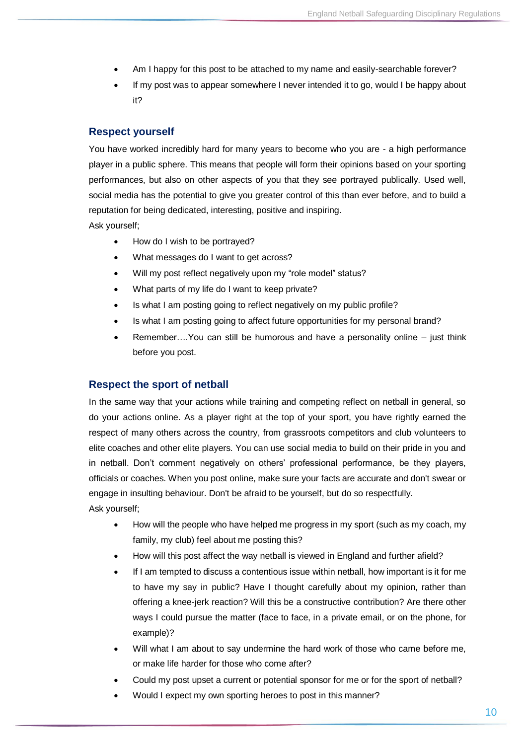- Am I happy for this post to be attached to my name and easily-searchable forever?
- If my post was to appear somewhere I never intended it to go, would I be happy about it?

#### **Respect yourself**

You have worked incredibly hard for many years to become who you are - a high performance player in a public sphere. This means that people will form their opinions based on your sporting performances, but also on other aspects of you that they see portrayed publically. Used well, social media has the potential to give you greater control of this than ever before, and to build a reputation for being dedicated, interesting, positive and inspiring. Ask yourself;

• How do I wish to be portrayed?

- What messages do I want to get across?
- Will my post reflect negatively upon my "role model" status?
- What parts of my life do I want to keep private?
- Is what I am posting going to reflect negatively on my public profile?
- Is what I am posting going to affect future opportunities for my personal brand?
- Remember….You can still be humorous and have a personality online just think before you post.

#### **Respect the sport of netball**

In the same way that your actions while training and competing reflect on netball in general, so do your actions online. As a player right at the top of your sport, you have rightly earned the respect of many others across the country, from grassroots competitors and club volunteers to elite coaches and other elite players. You can use social media to build on their pride in you and in netball. Don't comment negatively on others' professional performance, be they players, officials or coaches. When you post online, make sure your facts are accurate and don't swear or engage in insulting behaviour. Don't be afraid to be yourself, but do so respectfully. Ask yourself;

- How will the people who have helped me progress in my sport (such as my coach, my family, my club) feel about me posting this?
- How will this post affect the way netball is viewed in England and further afield?
- If I am tempted to discuss a contentious issue within netball, how important is it for me to have my say in public? Have I thought carefully about my opinion, rather than offering a knee-jerk reaction? Will this be a constructive contribution? Are there other ways I could pursue the matter (face to face, in a private email, or on the phone, for example)?
- Will what I am about to say undermine the hard work of those who came before me. or make life harder for those who come after?
- Could my post upset a current or potential sponsor for me or for the sport of netball?
- Would I expect my own sporting heroes to post in this manner?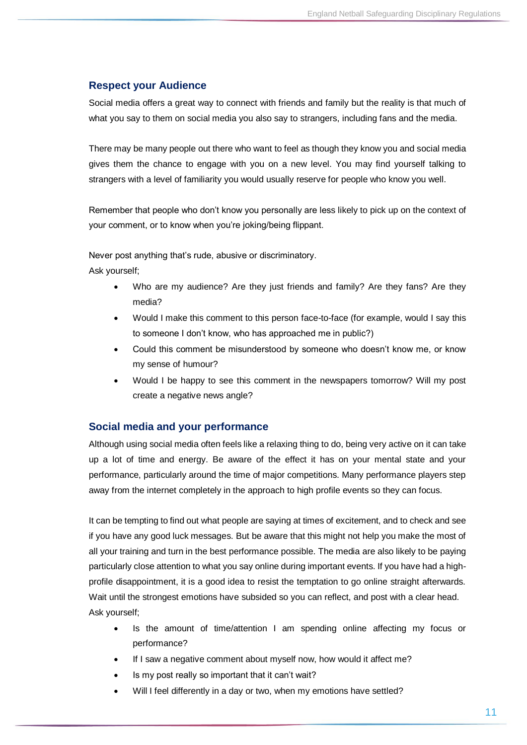# **Respect your Audience**

Social media offers a great way to connect with friends and family but the reality is that much of what you say to them on social media you also say to strangers, including fans and the media.

There may be many people out there who want to feel as though they know you and social media gives them the chance to engage with you on a new level. You may find yourself talking to strangers with a level of familiarity you would usually reserve for people who know you well.

Remember that people who don't know you personally are less likely to pick up on the context of your comment, or to know when you're joking/being flippant.

Never post anything that's rude, abusive or discriminatory.

Ask yourself;

- Who are my audience? Are they just friends and family? Are they fans? Are they media?
- Would I make this comment to this person face-to-face (for example, would I say this to someone I don't know, who has approached me in public?)
- Could this comment be misunderstood by someone who doesn't know me, or know my sense of humour?
- Would I be happy to see this comment in the newspapers tomorrow? Will my post create a negative news angle?

# **Social media and your performance**

Although using social media often feels like a relaxing thing to do, being very active on it can take up a lot of time and energy. Be aware of the effect it has on your mental state and your performance, particularly around the time of major competitions. Many performance players step away from the internet completely in the approach to high profile events so they can focus.

It can be tempting to find out what people are saying at times of excitement, and to check and see if you have any good luck messages. But be aware that this might not help you make the most of all your training and turn in the best performance possible. The media are also likely to be paying particularly close attention to what you say online during important events. If you have had a highprofile disappointment, it is a good idea to resist the temptation to go online straight afterwards. Wait until the strongest emotions have subsided so you can reflect, and post with a clear head. Ask yourself;

- Is the amount of time/attention I am spending online affecting my focus or performance?
- If I saw a negative comment about myself now, how would it affect me?
- Is my post really so important that it can't wait?
- Will I feel differently in a day or two, when my emotions have settled?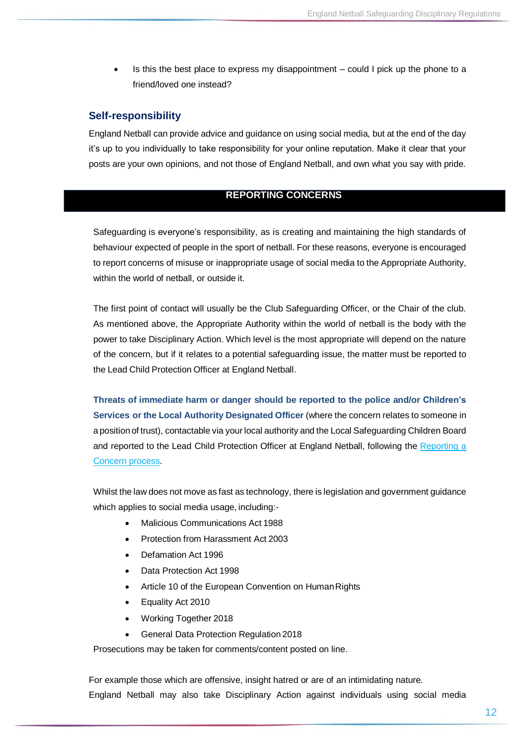Is this the best place to express my disappointment – could I pick up the phone to a friend/loved one instead?

### **Self-responsibility**

England Netball can provide advice and guidance on using social media, but at the end of the day it's up to you individually to take responsibility for your online reputation. Make it clear that your posts are your own opinions, and not those of England Netball, and own what you say with pride.

### **REPORTING CONCERNS**

Safeguarding is everyone's responsibility, as is creating and maintaining the high standards of behaviour expected of people in the sport of netball. For these reasons, everyone is encouraged to report concerns of misuse or inappropriate usage of social media to the Appropriate Authority, within the world of netball, or outside it.

The first point of contact will usually be the Club Safeguarding Officer, or the Chair of the club. As mentioned above, the Appropriate Authority within the world of netball is the body with the power to take Disciplinary Action. Which level is the most appropriate will depend on the nature of the concern, but if it relates to a potential safeguarding issue, the matter must be reported to the Lead Child Protection Officer at England Netball.

**Threats of immediate harm or danger should be reported to the police and/or Children's Services or the Local Authority Designated Officer** (where the concern relates to someone in a position of trust), contactable via your local authority and the Local Safeguarding Children Board and reported to the Lead Child Protection Officer at England Netball, following the [Reporting](https://englandnetball.co.uk/governance/safeguarding/reporting-a-safeguarding-concern) a [Concern](https://englandnetball.co.uk/governance/safeguarding/reporting-a-safeguarding-concern) process.

Whilst the law does not move as fast as technology, there is legislation and government guidance which applies to social media usage, including:-

- Malicious Communications Act 1988
- Protection from Harassment Act 2003
- Defamation Act 1996
- Data Protection Act 1998
- Article 10 of the European Convention on Human Rights
- Equality Act 2010
- Working Together 2018
- General Data Protection Regulation 2018

Prosecutions may be taken for comments/content posted on line.

For example those which are offensive, insight hatred or are of an intimidating nature. England Netball may also take Disciplinary Action against individuals using social media